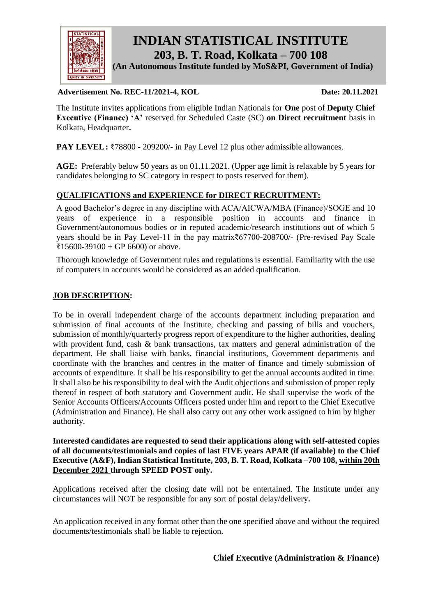

 **INDIAN STATISTICAL INSTITUTE 203, B. T. Road, Kolkata – 700 108**

 **(An Autonomous Institute funded by MoS&PI, Government of India)**

#### **Advertisement No. REC-11/2021-4, KOL Date: 20.11.2021**

The Institute invites applications from eligible Indian Nationals for **One** post of **Deputy Chief Executive (Finance) 'A'** reserved for Scheduled Caste (SC) **on Direct recruitment** basis in Kolkata, Headquarter**.**

**PAY LEVEL:** ₹78800 - 209200/- in Pay Level 12 plus other admissible allowances.

**AGE:** Preferably below 50 years as on 01.11.2021. (Upper age limit is relaxable by 5 years for candidates belonging to SC category in respect to posts reserved for them).

## **QUALIFICATIONS and EXPERIENCE for DIRECT RECRUITMENT:**

A good Bachelor's degree in any discipline with ACA/AICWA/MBA (Finance)/SOGE and 10 years of experience in a responsible position in accounts and finance in Government/autonomous bodies or in reputed academic/research institutions out of which 5 years should be in Pay Level-11 in the pay matrix₹67700-208700/- (Pre-revised Pay Scale  $\text{\textsterling}15600-39100 + GP 6600$  or above.

Thorough knowledge of Government rules and regulations is essential. Familiarity with the use of computers in accounts would be considered as an added qualification.

#### **JOB DESCRIPTION:**

To be in overall independent charge of the accounts department including preparation and submission of final accounts of the Institute, checking and passing of bills and vouchers, submission of monthly/quarterly progress report of expenditure to the higher authorities, dealing with provident fund, cash & bank transactions, tax matters and general administration of the department. He shall liaise with banks, financial institutions, Government departments and coordinate with the branches and centres in the matter of finance and timely submission of accounts of expenditure. It shall be his responsibility to get the annual accounts audited in time. It shall also be his responsibility to deal with the Audit objections and submission of proper reply thereof in respect of both statutory and Government audit. He shall supervise the work of the Senior Accounts Officers/Accounts Officers posted under him and report to the Chief Executive (Administration and Finance). He shall also carry out any other work assigned to him by higher authority.

**Interested candidates are requested to send their applications along with self-attested copies of all documents/testimonials and copies of last FIVE years APAR (if available) to the Chief Executive (A&F), Indian Statistical Institute, 203, B. T. Road, Kolkata –700 108, within 20th December 2021 through SPEED POST only.**

Applications received after the closing date will not be entertained. The Institute under any circumstances will NOT be responsible for any sort of postal delay/delivery**.**

An application received in any format other than the one specified above and without the required documents/testimonials shall be liable to rejection.

**Chief Executive (Administration & Finance)**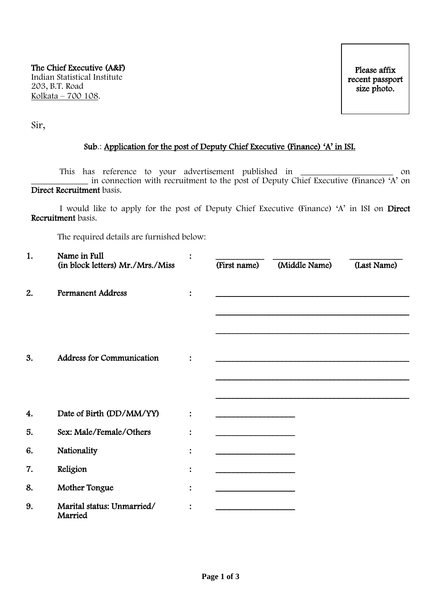Sir,

## Sub.: Application for the post of Deputy Chief Executive (Finance) 'A' in ISI.

This has reference to your advertisement published in \_\_\_\_\_\_\_\_\_\_\_\_\_\_\_\_\_\_\_\_\_\_\_\_\_ on \_\_\_\_\_\_\_\_\_\_\_\_\_ in connection with recruitment to the post of Deputy Chief Executive (Finance) 'A' on Direct Recruitment basis.

 I would like to apply for the post of Deputy Chief Executive (Finance) 'A' in ISI on Direct Recruitment basis.

The required details are furnished below:

| 1. | Name in Full<br>(in block letters) Mr./Mrs./Miss | (First name) | (Middle Name) | (Last Name) |
|----|--------------------------------------------------|--------------|---------------|-------------|
| 2. | <b>Permanent Address</b>                         |              |               |             |
| 3. | <b>Address for Communication</b>                 |              |               |             |
| 4. | Date of Birth (DD/MM/YY)                         |              |               |             |
| 5. | Sex: Male/Female/Others                          |              |               |             |
| 6. | Nationality                                      |              |               |             |
| 7. | Religion                                         |              |               |             |
| 8. | Mother Tongue                                    |              |               |             |
| 9. | Marital status: Unmarried/<br>Married            |              |               |             |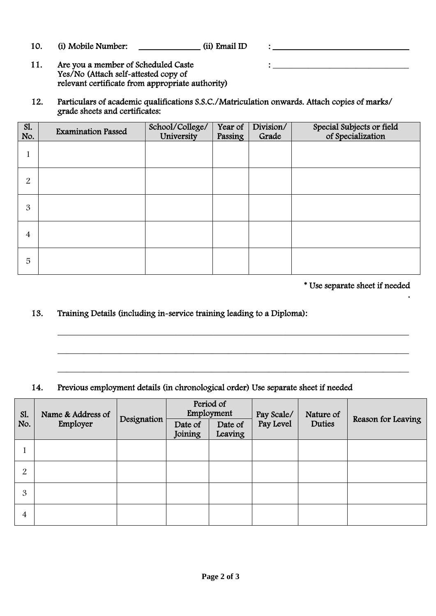- 10. (i) Mobile Number: \_\_\_\_\_\_\_\_\_\_\_\_\_\_\_ (ii) Email ID : \_\_\_\_\_\_\_\_\_\_\_\_\_\_\_\_\_\_\_\_\_\_\_\_\_
- 11. Are you a member of Scheduled Caste : \_\_\_\_\_\_\_\_\_\_\_\_\_\_\_\_\_\_\_\_\_\_\_\_\_\_\_\_\_\_\_ Yes/No (Attach self-attested copy of relevant certificate from appropriate authority)
- 12. Particulars of academic qualifications S.S.C./Matriculation onwards. Attach copies of marks/ grade sheets and certificates:

| S1.<br>No. | <b>Examination Passed</b> | School/College/<br>University | Year of<br>Passing | Division/<br>Grade | Special Subjects or field<br>of Specialization |
|------------|---------------------------|-------------------------------|--------------------|--------------------|------------------------------------------------|
|            |                           |                               |                    |                    |                                                |
| 2          |                           |                               |                    |                    |                                                |
| 3          |                           |                               |                    |                    |                                                |
| 4          |                           |                               |                    |                    |                                                |
| 5          |                           |                               |                    |                    |                                                |

\* Use separate sheet if needed

.

# 13. Training Details (including in-service training leading to a Diploma):

# 14. Previous employment details (in chronological order) Use separate sheet if needed

| SI.<br>No.     | Name & Address of<br>Employer | Designation | Period of<br>Employment |                    | Pay Scale/ | Nature of |                    |
|----------------|-------------------------------|-------------|-------------------------|--------------------|------------|-----------|--------------------|
|                |                               |             | Date of<br>Joining      | Date of<br>Leaving | Pay Level  | Duties    | Reason for Leaving |
|                |                               |             |                         |                    |            |           |                    |
| $\overline{2}$ |                               |             |                         |                    |            |           |                    |
| 3              |                               |             |                         |                    |            |           |                    |
| 4              |                               |             |                         |                    |            |           |                    |

\_\_\_\_\_\_\_\_\_\_\_\_\_\_\_\_\_\_\_\_\_\_\_\_\_\_\_\_\_\_\_\_\_\_\_\_\_\_\_\_\_\_\_\_\_\_\_\_\_\_\_\_\_\_\_\_\_\_\_\_\_\_\_\_\_\_\_\_\_\_\_\_\_\_\_\_\_\_\_\_

\_\_\_\_\_\_\_\_\_\_\_\_\_\_\_\_\_\_\_\_\_\_\_\_\_\_\_\_\_\_\_\_\_\_\_\_\_\_\_\_\_\_\_\_\_\_\_\_\_\_\_\_\_\_\_\_\_\_\_\_\_\_\_\_\_\_\_\_\_\_\_\_\_\_\_\_\_\_\_\_

\_\_\_\_\_\_\_\_\_\_\_\_\_\_\_\_\_\_\_\_\_\_\_\_\_\_\_\_\_\_\_\_\_\_\_\_\_\_\_\_\_\_\_\_\_\_\_\_\_\_\_\_\_\_\_\_\_\_\_\_\_\_\_\_\_\_\_\_\_\_\_\_\_\_\_\_\_\_\_\_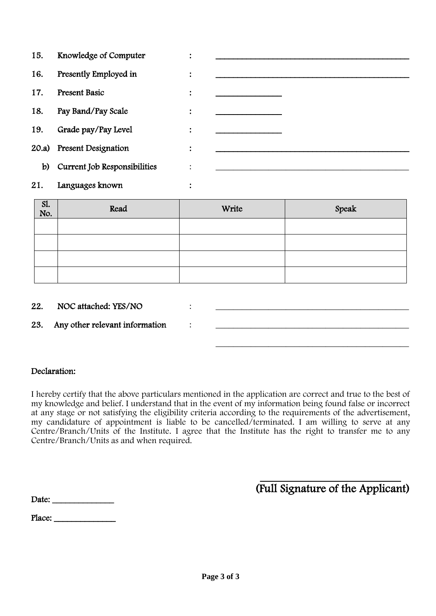| 15.   | Knowledge of Computer        | ٠<br>$\bullet$ |                                              |
|-------|------------------------------|----------------|----------------------------------------------|
| 16.   | Presently Employed in        | ٠<br>$\bullet$ |                                              |
| 17.   | <b>Present Basic</b>         | ٠<br>$\bullet$ |                                              |
| 18.   | Pay Band/Pay Scale           | $\ddot{\cdot}$ | the control of the control of the control of |
| 19.   | Grade pay/Pay Level          | $\ddot{\cdot}$ |                                              |
| 20.a) | <b>Present Designation</b>   | ٠<br>$\bullet$ |                                              |
| b)    | Current Job Responsibilities | $\vdots$       |                                              |
| 21.   | Languages known              |                |                                              |

| Sl.<br>No. | Read | Write | Speak |
|------------|------|-------|-------|
|            |      |       |       |
|            |      |       |       |
|            |      |       |       |
|            |      |       |       |

22. NOC attached: YES/NO  $\qquad \qquad$ :

23. Any other relevant information :

## Declaration:

I hereby certify that the above particulars mentioned in the application are correct and true to the best of my knowledge and belief. I understand that in the event of my information being found false or incorrect at any stage or not satisfying the eligibility criteria according to the requirements of the advertisement, my candidature of appointment is liable to be cancelled/terminated. I am willing to serve at any Centre/Branch/Units of the Institute. I agree that the Institute has the right to transfer me to any Centre/Branch/Units as and when required.

 $-$ (Full Signature of the Applicant)

\_\_\_\_\_\_\_\_\_\_\_\_\_\_\_\_\_\_\_\_\_\_\_\_\_\_\_\_\_\_\_\_\_\_\_\_\_\_\_\_\_\_\_\_

| Date: |  |
|-------|--|
|-------|--|

Place: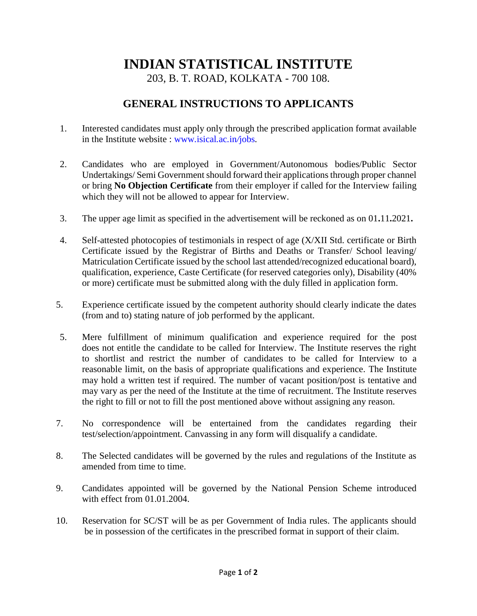# **INDIAN STATISTICAL INSTITUTE**

203, B. T. ROAD, KOLKATA - 700 108.

# **GENERAL INSTRUCTIONS TO APPLICANTS**

- 1. Interested candidates must apply only through the prescribed application format available in the Institute website : [www](http://www.isical.ac.in/jobs)*.*isical*.*ac*.*in*/*jobs*.*
- 2. Candidates who are employed in Government/Autonomous bodies/Public Sector Undertakings/ Semi Government should forward their applications through proper channel or bring **No Objection Certificate** from their employer if called for the Interview failing which they will not be allowed to appear for Interview.
- 3. The upper age limit as specified in the advertisement will be reckoned as on 01**.**11**.**2021**.**
- 4. Self-attested photocopies of testimonials in respect of age (X/XII Std. certificate or Birth Certificate issued by the Registrar of Births and Deaths or Transfer/ School leaving/ Matriculation Certificate issued by the school last attended/recognized educational board), qualification, experience, Caste Certificate (for reserved categories only), Disability (40% or more) certificate must be submitted along with the duly filled in application form.
- 5. Experience certificate issued by the competent authority should clearly indicate the dates (from and to) stating nature of job performed by the applicant.
- 5. Mere fulfillment of minimum qualification and experience required for the post does not entitle the candidate to be called for Interview. The Institute reserves the right to shortlist and restrict the number of candidates to be called for Interview to a reasonable limit, on the basis of appropriate qualifications and experience. The Institute may hold a written test if required. The number of vacant position/post is tentative and may vary as per the need of the Institute at the time of recruitment. The Institute reserves the right to fill or not to fill the post mentioned above without assigning any reason.
- 7. No correspondence will be entertained from the candidates regarding their test/selection/appointment. Canvassing in any form will disqualify a candidate.
- 8. The Selected candidates will be governed by the rules and regulations of the Institute as amended from time to time.
- 9. Candidates appointed will be governed by the National Pension Scheme introduced with effect from 01.01.2004.
- 10. Reservation for SC/ST will be as per Government of India rules. The applicants should be in possession of the certificates in the prescribed format in support of their claim.